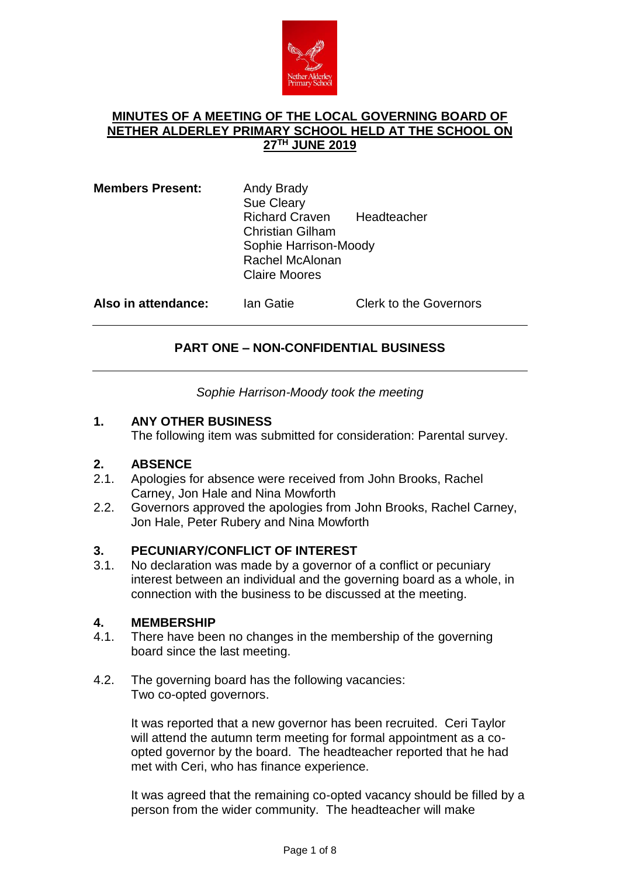

## **MINUTES OF A MEETING OF THE LOCAL GOVERNING BOARD OF NETHER ALDERLEY PRIMARY SCHOOL HELD AT THE SCHOOL ON 27 TH JUNE 2019**

| <b>Members Present:</b> | Andy Brady<br><b>Sue Cleary</b> |             |  |
|-------------------------|---------------------------------|-------------|--|
|                         | <b>Richard Craven</b>           | Headteacher |  |
|                         | <b>Christian Gilham</b>         |             |  |
|                         | Sophie Harrison-Moody           |             |  |
|                         | Rachel McAlonan                 |             |  |
|                         | <b>Claire Moores</b>            |             |  |
|                         |                                 |             |  |

**Also in attendance:** Ian Gatie Clerk to the Governors

# **PART ONE – NON-CONFIDENTIAL BUSINESS**

*Sophie Harrison-Moody took the meeting*

## **1. ANY OTHER BUSINESS**

The following item was submitted for consideration: Parental survey.

## **2. ABSENCE**

- 2.1. Apologies for absence were received from John Brooks, Rachel Carney, Jon Hale and Nina Mowforth
- 2.2. Governors approved the apologies from John Brooks, Rachel Carney, Jon Hale, Peter Rubery and Nina Mowforth

## **3. PECUNIARY/CONFLICT OF INTEREST**

3.1. No declaration was made by a governor of a conflict or pecuniary interest between an individual and the governing board as a whole, in connection with the business to be discussed at the meeting.

# **4. MEMBERSHIP**

- There have been no changes in the membership of the governing board since the last meeting.
- 4.2. The governing board has the following vacancies: Two co-opted governors.

It was reported that a new governor has been recruited. Ceri Taylor will attend the autumn term meeting for formal appointment as a coopted governor by the board. The headteacher reported that he had met with Ceri, who has finance experience.

It was agreed that the remaining co-opted vacancy should be filled by a person from the wider community. The headteacher will make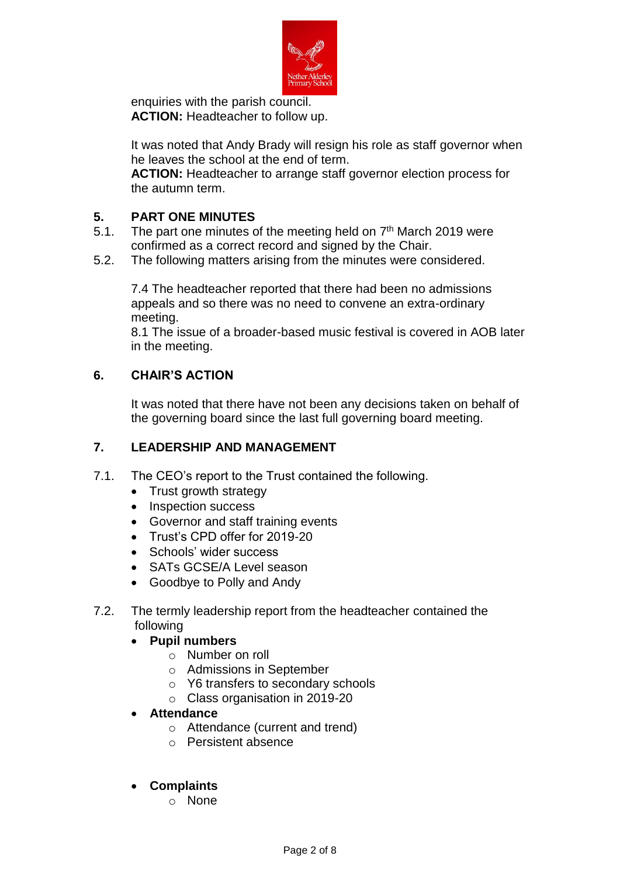

enquiries with the parish council. **ACTION:** Headteacher to follow up.

It was noted that Andy Brady will resign his role as staff governor when he leaves the school at the end of term.

**ACTION:** Headteacher to arrange staff governor election process for the autumn term.

## **5. PART ONE MINUTES**

- 5.1. The part one minutes of the meeting held on  $7<sup>th</sup>$  March 2019 were confirmed as a correct record and signed by the Chair.
- 5.2. The following matters arising from the minutes were considered.

7.4 The headteacher reported that there had been no admissions appeals and so there was no need to convene an extra-ordinary meeting.

8.1 The issue of a broader-based music festival is covered in AOB later in the meeting.

# **6. CHAIR'S ACTION**

It was noted that there have not been any decisions taken on behalf of the governing board since the last full governing board meeting.

## **7. LEADERSHIP AND MANAGEMENT**

- 7.1. The CEO's report to the Trust contained the following.
	- Trust growth strategy
	- Inspection success
	- Governor and staff training events
	- Trust's CPD offer for 2019-20
	- Schools' wider success
	- SATs GCSE/A Level season
	- Goodbye to Polly and Andy
- 7.2. The termly leadership report from the headteacher contained the following
	- **Pupil numbers**
		- o Number on roll
		- o Admissions in September
		- o Y6 transfers to secondary schools
		- o Class organisation in 2019-20
	- **Attendance**
		- o Attendance (current and trend)
		- o Persistent absence

## **Complaints**

o None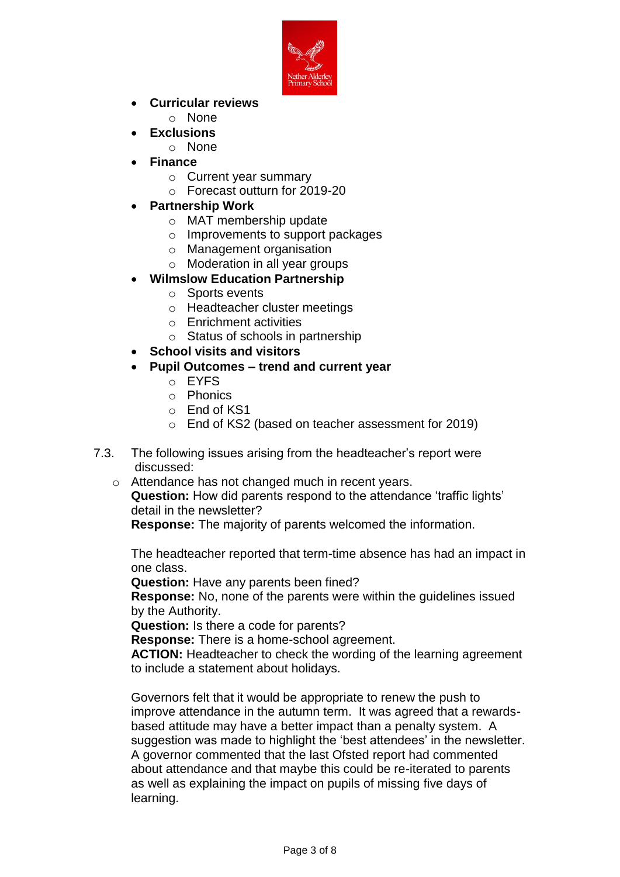

- **Curricular reviews**
	- o None
- **Exclusions**
	- o None
- **Finance**
	- o Current year summary
	- o Forecast outturn for 2019-20
- **Partnership Work**
	- o MAT membership update
	- o Improvements to support packages
	- o Management organisation
	- o Moderation in all year groups
- **Wilmslow Education Partnership**
	- o Sports events
	- o Headteacher cluster meetings
	- o Enrichment activities
	- o Status of schools in partnership
- **School visits and visitors**
- **Pupil Outcomes – trend and current year**
	- o EYFS
	- o Phonics
	- o End of KS1
	- o End of KS2 (based on teacher assessment for 2019)
- 7.3. The following issues arising from the headteacher's report were discussed:
	- o Attendance has not changed much in recent years. **Question:** How did parents respond to the attendance 'traffic lights' detail in the newsletter?

**Response:** The majority of parents welcomed the information.

The headteacher reported that term-time absence has had an impact in one class.

**Question:** Have any parents been fined?

**Response:** No, none of the parents were within the guidelines issued by the Authority.

**Question:** Is there a code for parents?

**Response:** There is a home-school agreement.

**ACTION:** Headteacher to check the wording of the learning agreement to include a statement about holidays.

Governors felt that it would be appropriate to renew the push to improve attendance in the autumn term. It was agreed that a rewardsbased attitude may have a better impact than a penalty system. A suggestion was made to highlight the 'best attendees' in the newsletter. A governor commented that the last Ofsted report had commented about attendance and that maybe this could be re-iterated to parents as well as explaining the impact on pupils of missing five days of learning.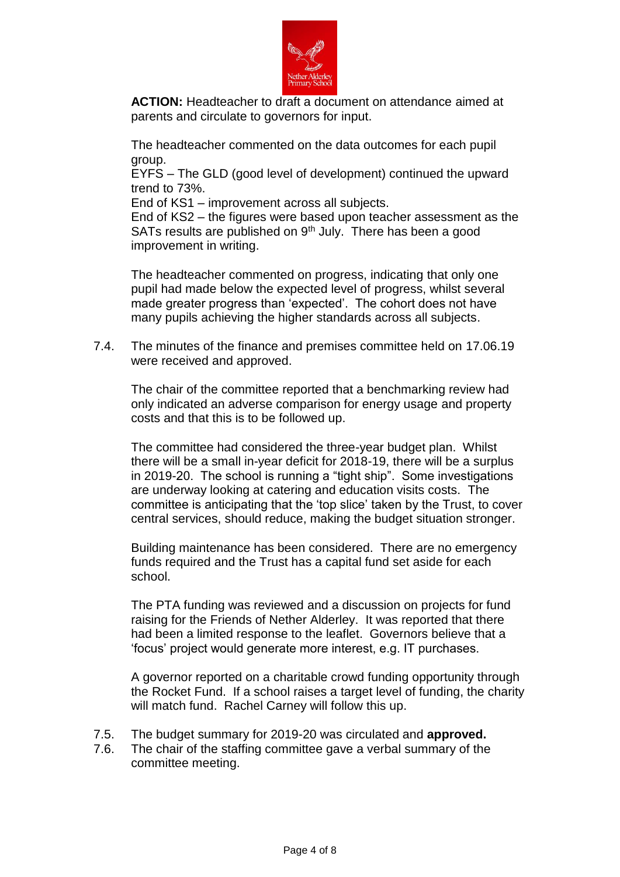

**ACTION:** Headteacher to draft a document on attendance aimed at parents and circulate to governors for input.

The headteacher commented on the data outcomes for each pupil group.

EYFS – The GLD (good level of development) continued the upward trend to 73%.

End of KS1 – improvement across all subjects.

End of KS2 – the figures were based upon teacher assessment as the SATs results are published on  $9<sup>th</sup>$  July. There has been a good improvement in writing.

The headteacher commented on progress, indicating that only one pupil had made below the expected level of progress, whilst several made greater progress than 'expected'. The cohort does not have many pupils achieving the higher standards across all subjects.

7.4. The minutes of the finance and premises committee held on 17.06.19 were received and approved.

The chair of the committee reported that a benchmarking review had only indicated an adverse comparison for energy usage and property costs and that this is to be followed up.

The committee had considered the three-year budget plan. Whilst there will be a small in-year deficit for 2018-19, there will be a surplus in 2019-20. The school is running a "tight ship". Some investigations are underway looking at catering and education visits costs. The committee is anticipating that the 'top slice' taken by the Trust, to cover central services, should reduce, making the budget situation stronger.

Building maintenance has been considered. There are no emergency funds required and the Trust has a capital fund set aside for each school.

The PTA funding was reviewed and a discussion on projects for fund raising for the Friends of Nether Alderley. It was reported that there had been a limited response to the leaflet. Governors believe that a 'focus' project would generate more interest, e.g. IT purchases.

A governor reported on a charitable crowd funding opportunity through the Rocket Fund. If a school raises a target level of funding, the charity will match fund. Rachel Carney will follow this up.

- 7.5. The budget summary for 2019-20 was circulated and **approved.**
- 7.6. The chair of the staffing committee gave a verbal summary of the committee meeting.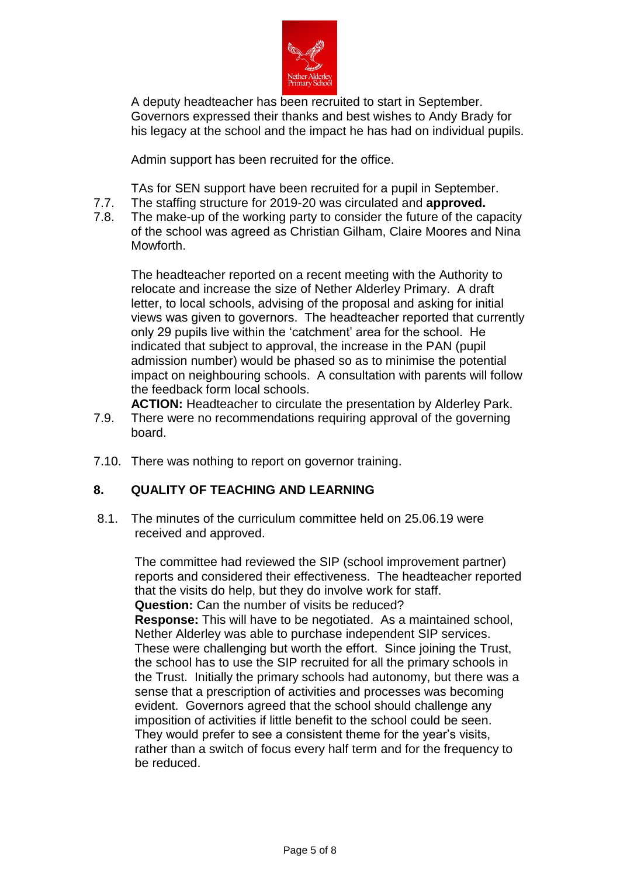

A deputy headteacher has been recruited to start in September. Governors expressed their thanks and best wishes to Andy Brady for his legacy at the school and the impact he has had on individual pupils.

Admin support has been recruited for the office.

TAs for SEN support have been recruited for a pupil in September.

- 7.7. The staffing structure for 2019-20 was circulated and **approved.**
- 7.8. The make-up of the working party to consider the future of the capacity of the school was agreed as Christian Gilham, Claire Moores and Nina Mowforth.

The headteacher reported on a recent meeting with the Authority to relocate and increase the size of Nether Alderley Primary. A draft letter, to local schools, advising of the proposal and asking for initial views was given to governors. The headteacher reported that currently only 29 pupils live within the 'catchment' area for the school. He indicated that subject to approval, the increase in the PAN (pupil admission number) would be phased so as to minimise the potential impact on neighbouring schools. A consultation with parents will follow the feedback form local schools.

- **ACTION:** Headteacher to circulate the presentation by Alderley Park. 7.9. There were no recommendations requiring approval of the governing board.
- 7.10. There was nothing to report on governor training.

## **8. QUALITY OF TEACHING AND LEARNING**

8.1. The minutes of the curriculum committee held on 25.06.19 were received and approved.

The committee had reviewed the SIP (school improvement partner) reports and considered their effectiveness. The headteacher reported that the visits do help, but they do involve work for staff. **Question:** Can the number of visits be reduced? **Response:** This will have to be negotiated. As a maintained school, Nether Alderley was able to purchase independent SIP services. These were challenging but worth the effort. Since joining the Trust, the school has to use the SIP recruited for all the primary schools in the Trust. Initially the primary schools had autonomy, but there was a sense that a prescription of activities and processes was becoming evident. Governors agreed that the school should challenge any imposition of activities if little benefit to the school could be seen. They would prefer to see a consistent theme for the year's visits, rather than a switch of focus every half term and for the frequency to be reduced.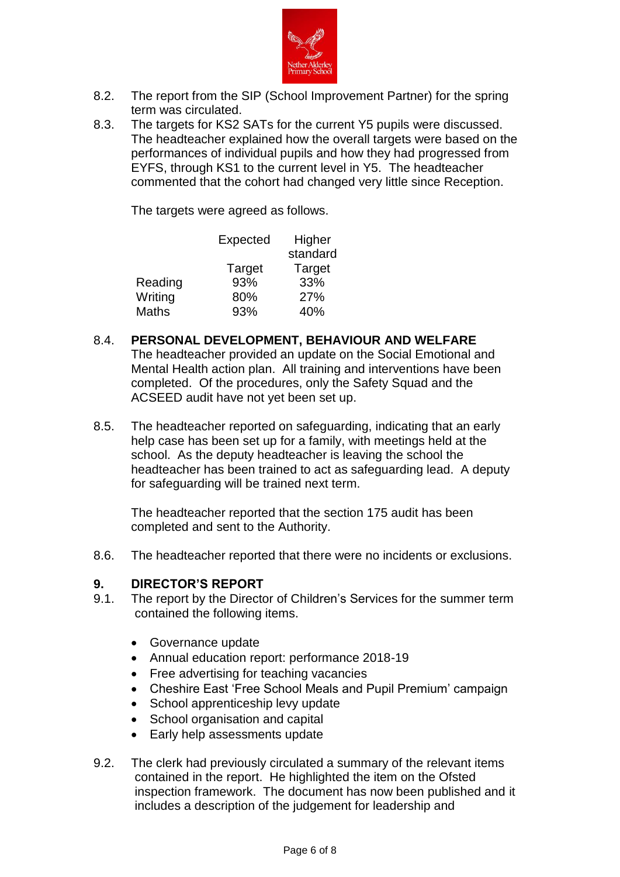

- 8.2. The report from the SIP (School Improvement Partner) for the spring term was circulated.
- 8.3. The targets for KS2 SATs for the current Y5 pupils were discussed. The headteacher explained how the overall targets were based on the performances of individual pupils and how they had progressed from EYFS, through KS1 to the current level in Y5. The headteacher commented that the cohort had changed very little since Reception.

The targets were agreed as follows.

|              | Expected | Higher   |
|--------------|----------|----------|
|              |          | standard |
|              | Target   | Target   |
| Reading      | 93%      | 33%      |
| Writing      | 80%      | 27%      |
| <b>Maths</b> | 93%      | 40%      |
|              |          |          |

- 8.4. **PERSONAL DEVELOPMENT, BEHAVIOUR AND WELFARE** The headteacher provided an update on the Social Emotional and Mental Health action plan. All training and interventions have been completed. Of the procedures, only the Safety Squad and the ACSEED audit have not yet been set up.
- 8.5. The headteacher reported on safeguarding, indicating that an early help case has been set up for a family, with meetings held at the school. As the deputy headteacher is leaving the school the headteacher has been trained to act as safeguarding lead. A deputy for safeguarding will be trained next term.

The headteacher reported that the section 175 audit has been completed and sent to the Authority.

8.6. The headteacher reported that there were no incidents or exclusions.

## **9. DIRECTOR'S REPORT**

- 9.1. The report by the Director of Children's Services for the summer term contained the following items.
	- Governance update
	- Annual education report: performance 2018-19
	- Free advertising for teaching vacancies
	- Cheshire East 'Free School Meals and Pupil Premium' campaign
	- School apprenticeship levy update
	- School organisation and capital
	- Early help assessments update
- 9.2. The clerk had previously circulated a summary of the relevant items contained in the report. He highlighted the item on the Ofsted inspection framework. The document has now been published and it includes a description of the judgement for leadership and